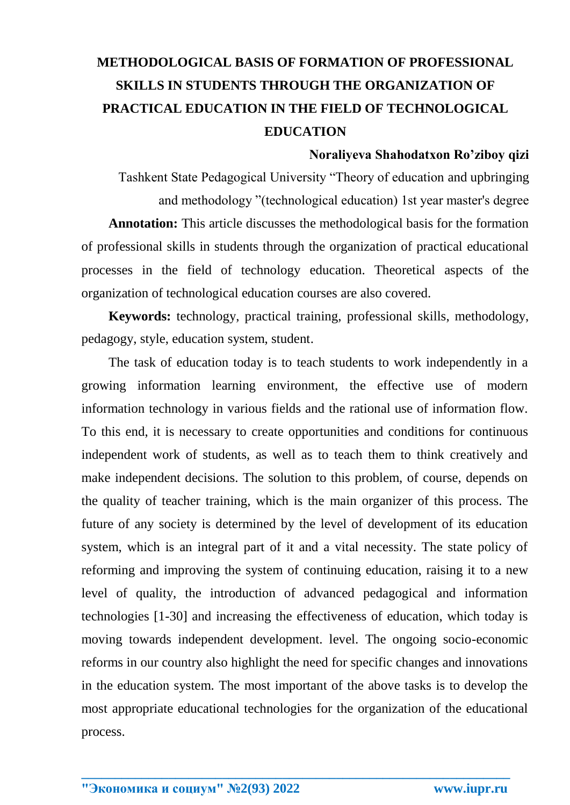# **METHODOLOGICAL BASIS OF FORMATION OF PROFESSIONAL SKILLS IN STUDENTS THROUGH THE ORGANIZATION OF PRACTICAL EDUCATION IN THE FIELD OF TECHNOLOGICAL EDUCATION**

### **Noraliyeva Shahodatxon Ro'ziboy qizi**

Tashkent State Pedagogical University "Theory of education and upbringing and methodology "(technological education) 1st year master's degree **Annotation:** This article discusses the methodological basis for the formation of professional skills in students through the organization of practical educational processes in the field of technology education. Theoretical aspects of the organization of technological education courses are also covered.

**Keywords:** technology, practical training, professional skills, methodology, pedagogy, style, education system, student.

The task of education today is to teach students to work independently in a growing information learning environment, the effective use of modern information technology in various fields and the rational use of information flow. To this end, it is necessary to create opportunities and conditions for continuous independent work of students, as well as to teach them to think creatively and make independent decisions. The solution to this problem, of course, depends on the quality of teacher training, which is the main organizer of this process. The future of any society is determined by the level of development of its education system, which is an integral part of it and a vital necessity. The state policy of reforming and improving the system of continuing education, raising it to a new level of quality, the introduction of advanced pedagogical and information technologies [1-30] and increasing the effectiveness of education, which today is moving towards independent development. level. The ongoing socio-economic reforms in our country also highlight the need for specific changes and innovations in the education system. The most important of the above tasks is to develop the most appropriate educational technologies for the organization of the educational process.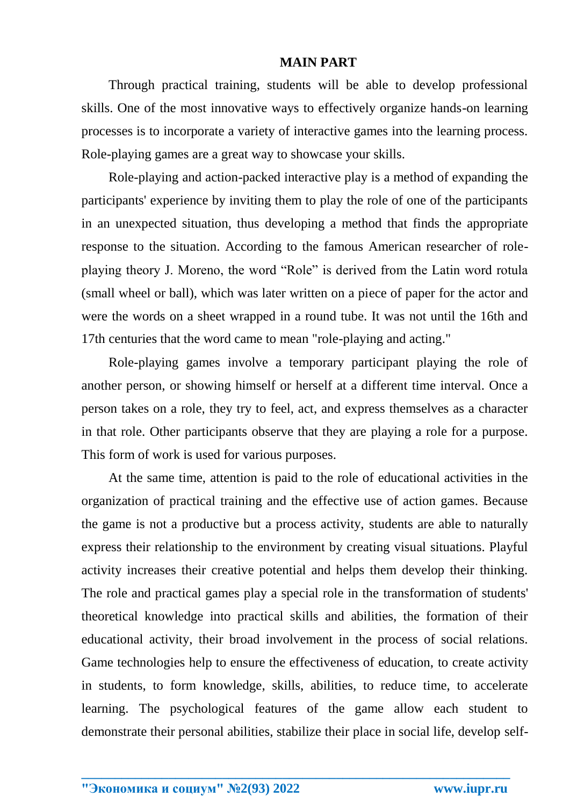### **MAIN PART**

Through practical training, students will be able to develop professional skills. One of the most innovative ways to effectively organize hands-on learning processes is to incorporate a variety of interactive games into the learning process. Role-playing games are a great way to showcase your skills.

Role-playing and action-packed interactive play is a method of expanding the participants' experience by inviting them to play the role of one of the participants in an unexpected situation, thus developing a method that finds the appropriate response to the situation. According to the famous American researcher of roleplaying theory J. Moreno, the word "Role" is derived from the Latin word rotula (small wheel or ball), which was later written on a piece of paper for the actor and were the words on a sheet wrapped in a round tube. It was not until the 16th and 17th centuries that the word came to mean "role-playing and acting."

Role-playing games involve a temporary participant playing the role of another person, or showing himself or herself at a different time interval. Once a person takes on a role, they try to feel, act, and express themselves as a character in that role. Other participants observe that they are playing a role for a purpose. This form of work is used for various purposes.

At the same time, attention is paid to the role of educational activities in the organization of practical training and the effective use of action games. Because the game is not a productive but a process activity, students are able to naturally express their relationship to the environment by creating visual situations. Playful activity increases their creative potential and helps them develop their thinking. The role and practical games play a special role in the transformation of students' theoretical knowledge into practical skills and abilities, the formation of their educational activity, their broad involvement in the process of social relations. Game technologies help to ensure the effectiveness of education, to create activity in students, to form knowledge, skills, abilities, to reduce time, to accelerate learning. The psychological features of the game allow each student to demonstrate their personal abilities, stabilize their place in social life, develop self-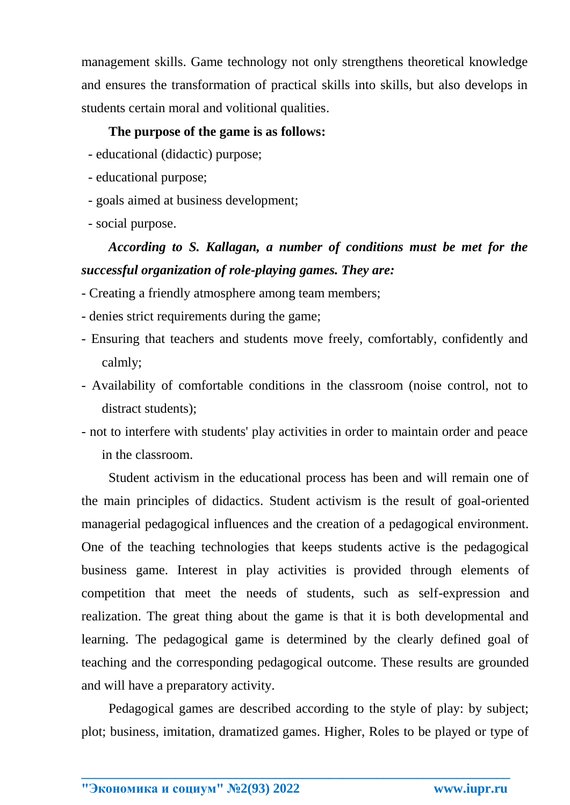management skills. Game technology not only strengthens theoretical knowledge and ensures the transformation of practical skills into skills, but also develops in students certain moral and volitional qualities.

# **The purpose of the game is as follows:**

- educational (didactic) purpose;
- educational purpose;
- goals aimed at business development;
- social purpose.

# *According to S. Kallagan, a number of conditions must be met for the successful organization of role-playing games. They are:*

- Creating a friendly atmosphere among team members;
- denies strict requirements during the game;
- Ensuring that teachers and students move freely, comfortably, confidently and calmly;
- Availability of comfortable conditions in the classroom (noise control, not to distract students);
- not to interfere with students' play activities in order to maintain order and peace in the classroom.

Student activism in the educational process has been and will remain one of the main principles of didactics. Student activism is the result of goal-oriented managerial pedagogical influences and the creation of a pedagogical environment. One of the teaching technologies that keeps students active is the pedagogical business game. Interest in play activities is provided through elements of competition that meet the needs of students, such as self-expression and realization. The great thing about the game is that it is both developmental and learning. The pedagogical game is determined by the clearly defined goal of teaching and the corresponding pedagogical outcome. These results are grounded and will have a preparatory activity.

Pedagogical games are described according to the style of play: by subject; plot; business, imitation, dramatized games. Higher, Roles to be played or type of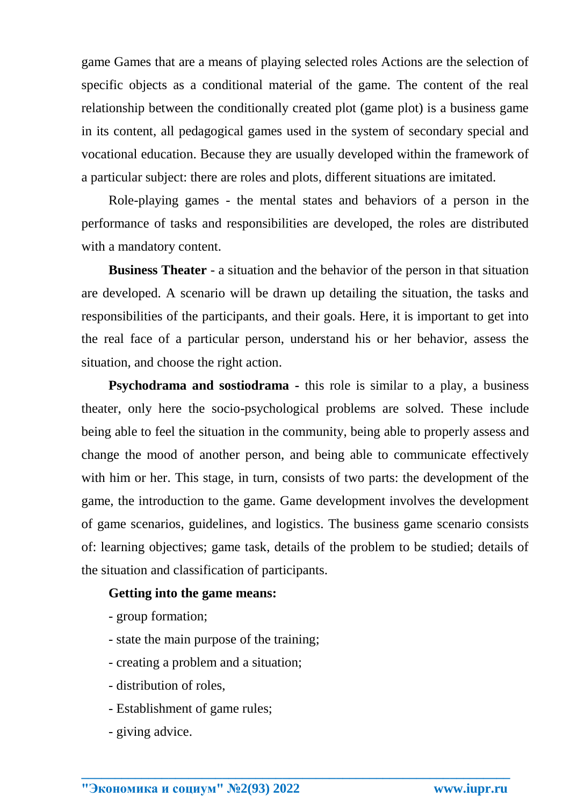game Games that are a means of playing selected roles Actions are the selection of specific objects as a conditional material of the game. The content of the real relationship between the conditionally created plot (game plot) is a business game in its content, all pedagogical games used in the system of secondary special and vocational education. Because they are usually developed within the framework of a particular subject: there are roles and plots, different situations are imitated.

Role-playing games - the mental states and behaviors of a person in the performance of tasks and responsibilities are developed, the roles are distributed with a mandatory content.

**Business Theater** - a situation and the behavior of the person in that situation are developed. A scenario will be drawn up detailing the situation, the tasks and responsibilities of the participants, and their goals. Here, it is important to get into the real face of a particular person, understand his or her behavior, assess the situation, and choose the right action.

**Psychodrama and sostiodrama -** this role is similar to a play, a business theater, only here the socio-psychological problems are solved. These include being able to feel the situation in the community, being able to properly assess and change the mood of another person, and being able to communicate effectively with him or her. This stage, in turn, consists of two parts: the development of the game, the introduction to the game. Game development involves the development of game scenarios, guidelines, and logistics. The business game scenario consists of: learning objectives; game task, details of the problem to be studied; details of the situation and classification of participants.

**\_\_\_\_\_\_\_\_\_\_\_\_\_\_\_\_\_\_\_\_\_\_\_\_\_\_\_\_\_\_\_\_\_\_\_\_\_\_\_\_\_\_\_\_\_\_\_\_\_\_\_\_\_\_\_\_\_\_\_\_\_\_\_\_**

### **Getting into the game means:**

- group formation;
- state the main purpose of the training;
- creating a problem and a situation;
- distribution of roles,
- Establishment of game rules;
- giving advice.